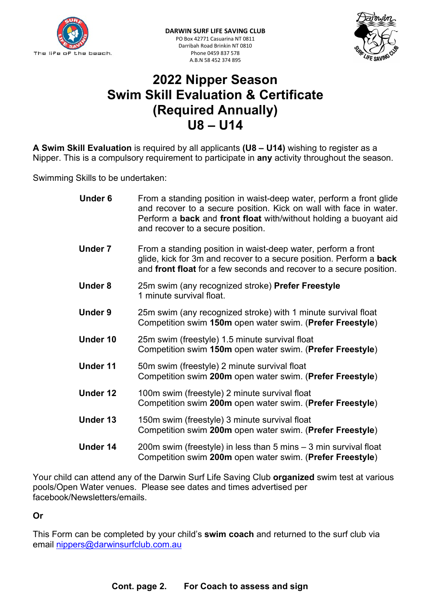



# 2022 Nipper Season Swim Skill Evaluation & Certificate (Required Annually) U8 – U14

A Swim Skill Evaluation is required by all applicants (U8 – U14) wishing to register as a Nipper. This is a compulsory requirement to participate in any activity throughout the season.

Swimming Skills to be undertaken:

| <b>Under 6</b>  | From a standing position in waist-deep water, perform a front glide<br>and recover to a secure position. Kick on wall with face in water.<br>Perform a back and front float with/without holding a buoyant aid<br>and recover to a secure position. |  |
|-----------------|-----------------------------------------------------------------------------------------------------------------------------------------------------------------------------------------------------------------------------------------------------|--|
| <b>Under 7</b>  | From a standing position in waist-deep water, perform a front<br>glide, kick for 3m and recover to a secure position. Perform a back<br>and front float for a few seconds and recover to a secure position.                                         |  |
| <b>Under 8</b>  | 25m swim (any recognized stroke) Prefer Freestyle<br>1 minute survival float.                                                                                                                                                                       |  |
| <b>Under 9</b>  | 25m swim (any recognized stroke) with 1 minute survival float<br>Competition swim 150m open water swim. (Prefer Freestyle)                                                                                                                          |  |
| Under 10        | 25m swim (freestyle) 1.5 minute survival float<br>Competition swim 150m open water swim. (Prefer Freestyle)                                                                                                                                         |  |
| <b>Under 11</b> | 50m swim (freestyle) 2 minute survival float<br>Competition swim 200m open water swim. (Prefer Freestyle)                                                                                                                                           |  |
| <b>Under 12</b> | 100m swim (freestyle) 2 minute survival float<br>Competition swim 200m open water swim. (Prefer Freestyle)                                                                                                                                          |  |
| <b>Under 13</b> | 150m swim (freestyle) 3 minute survival float<br>Competition swim 200m open water swim. (Prefer Freestyle)                                                                                                                                          |  |
| <b>Under 14</b> | 200m swim (freestyle) in less than 5 mins - 3 min survival float<br>Competition swim 200m open water swim. (Prefer Freestyle)                                                                                                                       |  |

Your child can attend any of the Darwin Surf Life Saving Club organized swim test at various pools/Open Water venues. Please see dates and times advertised per facebook/Newsletters/emails.

### Or

This Form can be completed by your child's swim coach and returned to the surf club via email nippers@darwinsurfclub.com.au